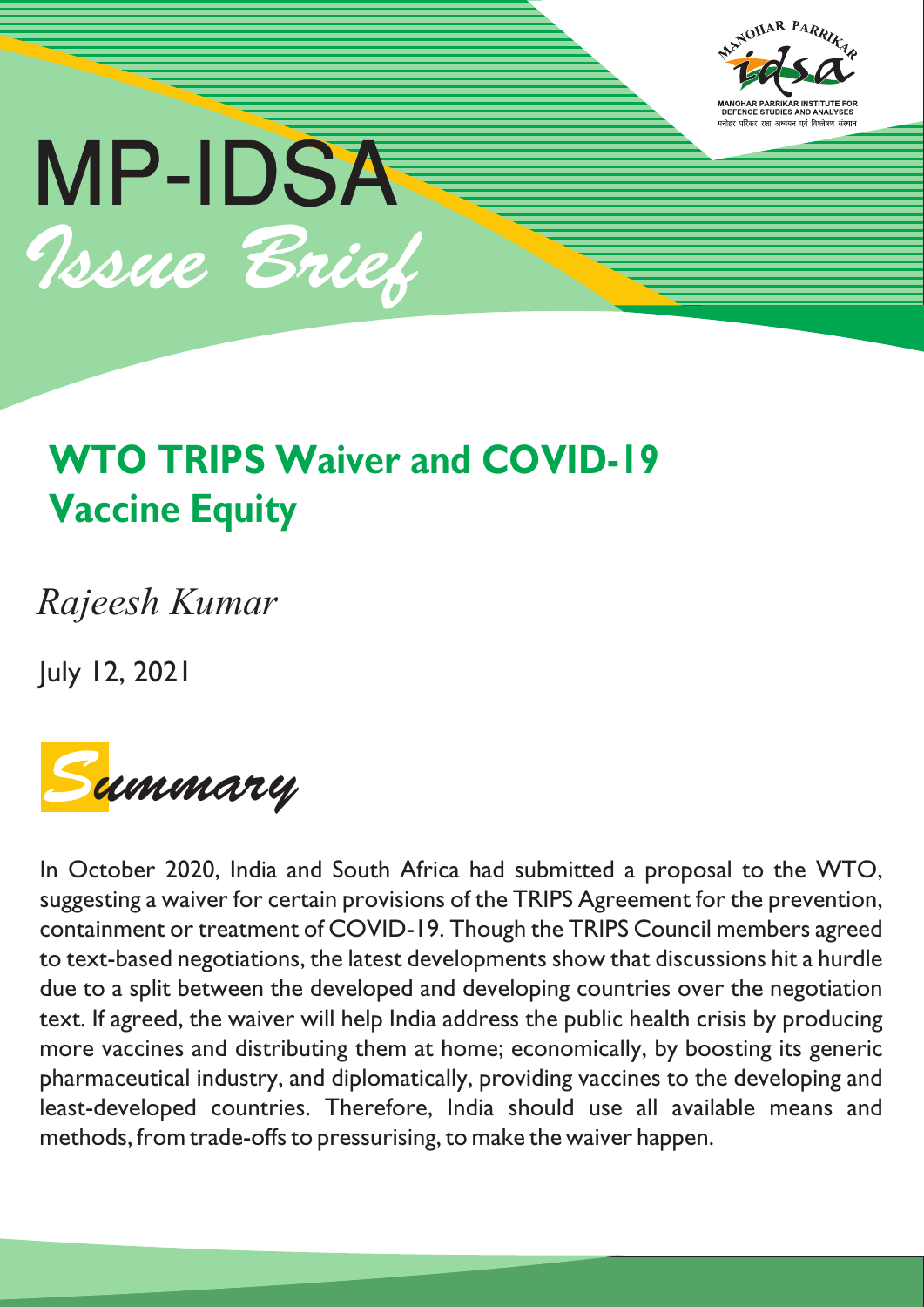



# **WTO TRIPS Waiver and COVID-19 Vaccine Equity**

*Rajeesh Kumar*

July 12, 2021



In October 2020, India and South Africa had submitted a proposal to the WTO, suggesting a waiver for certain provisions of the TRIPS Agreement for the prevention, containment or treatment of COVID-19. Though the TRIPS Council members agreed to text-based negotiations, the latest developments show that discussions hit a hurdle due to a split between the developed and developing countries over the negotiation text. If agreed, the waiver will help India address the public health crisis by producing more vaccines and distributing them at home; economically, by boosting its generic pharmaceutical industry, and diplomatically, providing vaccines to the developing and least-developed countries. Therefore, India should use all available means and methods, from trade-offs to pressurising, to make the waiver happen.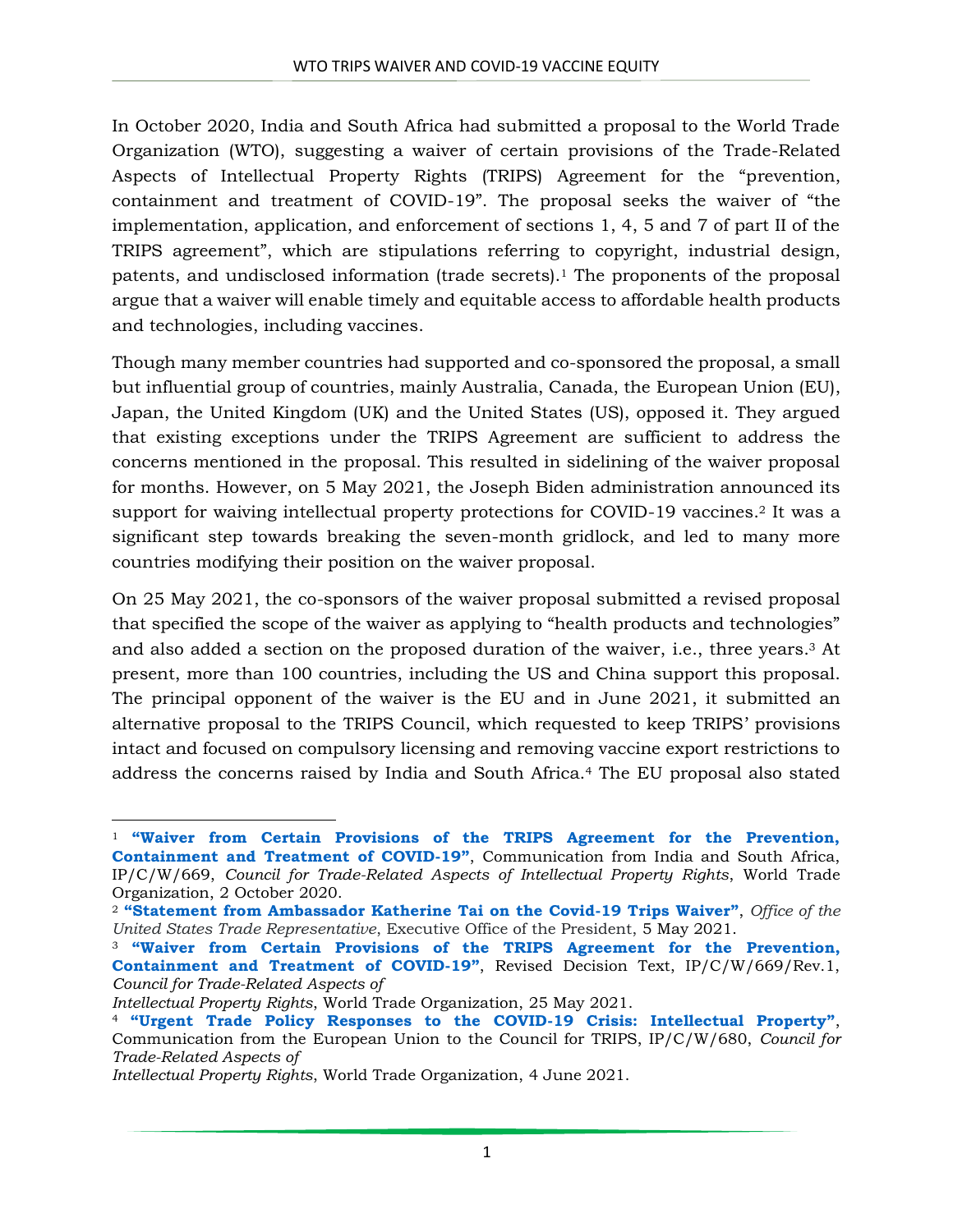In October 2020, India and South Africa had submitted a proposal to the World Trade Organization (WTO), suggesting a waiver of certain provisions of the Trade-Related Aspects of Intellectual Property Rights (TRIPS) Agreement for the "prevention, containment and treatment of COVID-19". The proposal seeks the waiver of "the implementation, application, and enforcement of sections 1, 4, 5 and 7 of part II of the TRIPS agreement", which are stipulations referring to copyright, industrial design, patents, and undisclosed information (trade secrets).<sup>1</sup> The proponents of the proposal argue that a waiver will enable timely and equitable access to affordable health products and technologies, including vaccines.

Though many member countries had supported and co-sponsored the proposal, a small but influential group of countries, mainly Australia, Canada, the European Union (EU), Japan, the United Kingdom (UK) and the United States (US), opposed it. They argued that existing exceptions under the TRIPS Agreement are sufficient to address the concerns mentioned in the proposal. This resulted in sidelining of the waiver proposal for months. However, on 5 May 2021, the Joseph Biden administration announced its support for waiving intellectual property protections for COVID-19 vaccines. <sup>2</sup> It was a significant step towards breaking the seven-month gridlock, and led to many more countries modifying their position on the waiver proposal.

On 25 May 2021, the co-sponsors of the waiver proposal submitted a revised proposal that specified the scope of the waiver as applying to "health products and technologies" and also added a section on the proposed duration of the waiver, i.e., three years. <sup>3</sup> At present, more than 100 countries, including the US and China support this proposal. The principal opponent of the waiver is the EU and in June 2021, it submitted an alternative proposal to the TRIPS Council, which requested to keep TRIPS' provisions intact and focused on compulsory licensing and removing vaccine export restrictions to address the concerns raised by India and South Africa.<sup>4</sup> The EU proposal also stated

 $\overline{a}$ 

<sup>1</sup> **"Waiver from [Certain Provisions of the TRIPS Agreement for the Prevention,](https://docs.wto.org/dol2fe/Pages/SS/directdoc.aspx?filename=q:/IP/C/W669.pdf&Open=True)  [Containment and Treatment of COVID-](https://docs.wto.org/dol2fe/Pages/SS/directdoc.aspx?filename=q:/IP/C/W669.pdf&Open=True)19"**, Communication from India and South Africa, IP/C/W/669, *Council for Trade-Related Aspects of Intellectual Property Rights*, World Trade Organization, 2 October 2020.

<sup>2</sup> **"[Statement from Ambassador Katherine Tai on the Covid-19 Trips Waiver](https://ustr.gov/about-us/policy-offices/press-office/press-releases/2021/may/statement-ambassador-katherine-tai-covid-19-trips-waiver)"**, *Office of the United States Trade Representative*, Executive Office of the President, 5 May 2021.

<sup>3</sup> **["Waiver from Certain Provisions of the TRIPS Agreement for the](https://docs.wto.org/dol2fe/Pages/SS/directdoc.aspx?filename=q:/IP/C/W669R1.pdf&Open=True) Prevention, [Containment and Treatment of COVID-](https://docs.wto.org/dol2fe/Pages/SS/directdoc.aspx?filename=q:/IP/C/W669R1.pdf&Open=True)19"**, Revised Decision Text, IP/C/W/669/Rev.1, *Council for Trade-Related Aspects of*

*Intellectual Property Rights*, World Trade Organization, 25 May 2021.

<sup>4</sup> **["Urgent Trade Policy Responses to the COVID](https://docs.wto.org/dol2fe/Pages/SS/directdoc.aspx?filename=q:/IP/C/W680.pdf&Open=True)-19 Crisis: Intellectual Property"**, Communication from the European Union to the Council for TRIPS, IP/C/W/680, *Council for Trade-Related Aspects of*

*Intellectual Property Rights*, World Trade Organization, 4 June 2021.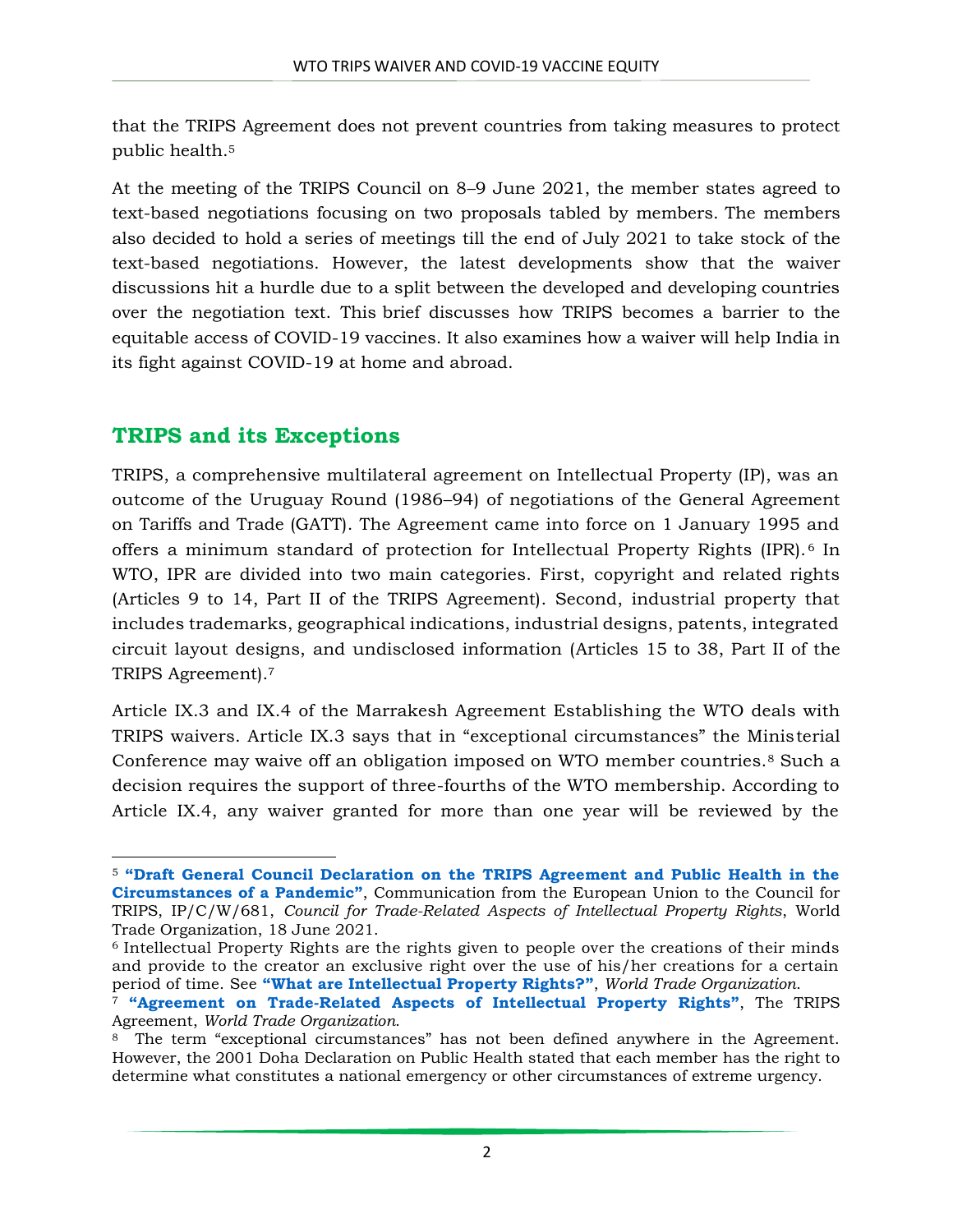that the TRIPS Agreement does not prevent countries from taking measures to protect public health.<sup>5</sup>

At the meeting of the TRIPS Council on 8–9 June 2021, the member states agreed to text-based negotiations focusing on two proposals tabled by members. The members also decided to hold a series of meetings till the end of July 2021 to take stock of the text-based negotiations. However, the latest developments show that the waiver discussions hit a hurdle due to a split between the developed and developing countries over the negotiation text. This brief discusses how TRIPS becomes a barrier to the equitable access of COVID-19 vaccines. It also examines how a waiver will help India in its fight against COVID-19 at home and abroad.

## **TRIPS and its Exceptions**

 $\overline{\phantom{a}}$ 

TRIPS, a comprehensive multilateral agreement on Intellectual Property (IP), was an outcome of the Uruguay Round (1986–94) of negotiations of the General Agreement on Tariffs and Trade (GATT). The Agreement came into force on 1 January 1995 and offers a minimum standard of protection for Intellectual Property Rights (IPR). <sup>6</sup> In WTO, IPR are divided into two main categories. First, copyright and related rights (Articles 9 to 14, Part II of the TRIPS Agreement). Second, industrial property that includes trademarks, geographical indications, industrial designs, patents, integrated circuit layout designs, and undisclosed information (Articles 15 to 38, Part II of the TRIPS Agreement). 7

Article IX.3 and IX.4 of the Marrakesh Agreement Establishing the WTO deals with TRIPS waivers. Article IX.3 says that in "exceptional circumstances" the Ministerial Conference may waive off an obligation imposed on WTO member countries.<sup>8</sup> Such a decision requires the support of three-fourths of the WTO membership. According to Article IX.4, any waiver granted for more than one year will be reviewed by the

<sup>5</sup> **["Draft General Council Declaration on the TRIPS Agreement and Public Health in the](https://docs.wto.org/dol2fe/Pages/SS/directdoc.aspx?filename=q:/IP/C/W681.pdf&Open=True)  Circumstance[s of a Pandemic"](https://docs.wto.org/dol2fe/Pages/SS/directdoc.aspx?filename=q:/IP/C/W681.pdf&Open=True)**, Communication from the European Union to the Council for TRIPS, IP/C/W/681, *Council for Trade-Related Aspects of Intellectual Property Rights*, World Trade Organization, 18 June 2021.

<sup>6</sup> Intellectual Property Rights are the rights given to people over the creations of their minds and provide to the creator an exclusive right over the use of his/her creations for a certain period of time. See **"[What are Intellectual](https://www.wto.org/english/tratop_e/trips_e/intel1_e.htm) Property Rights?"**, *World Trade Organization*.

<sup>7</sup> **"Agreement on Trade-[Related Aspects of Intellectual Property Rights"](https://www.wto.org/english/tratop_e/trips_e/ta_docs_e/1_tripsagreement_e.pdf)**, The TRIPS Agreement, *World Trade Organization*.

<sup>8</sup> The term "exceptional circumstances" has not been defined anywhere in the Agreement. However, the 2001 Doha Declaration on Public Health stated that each member has the right to determine what constitutes a national emergency or other circumstances of extreme urgency.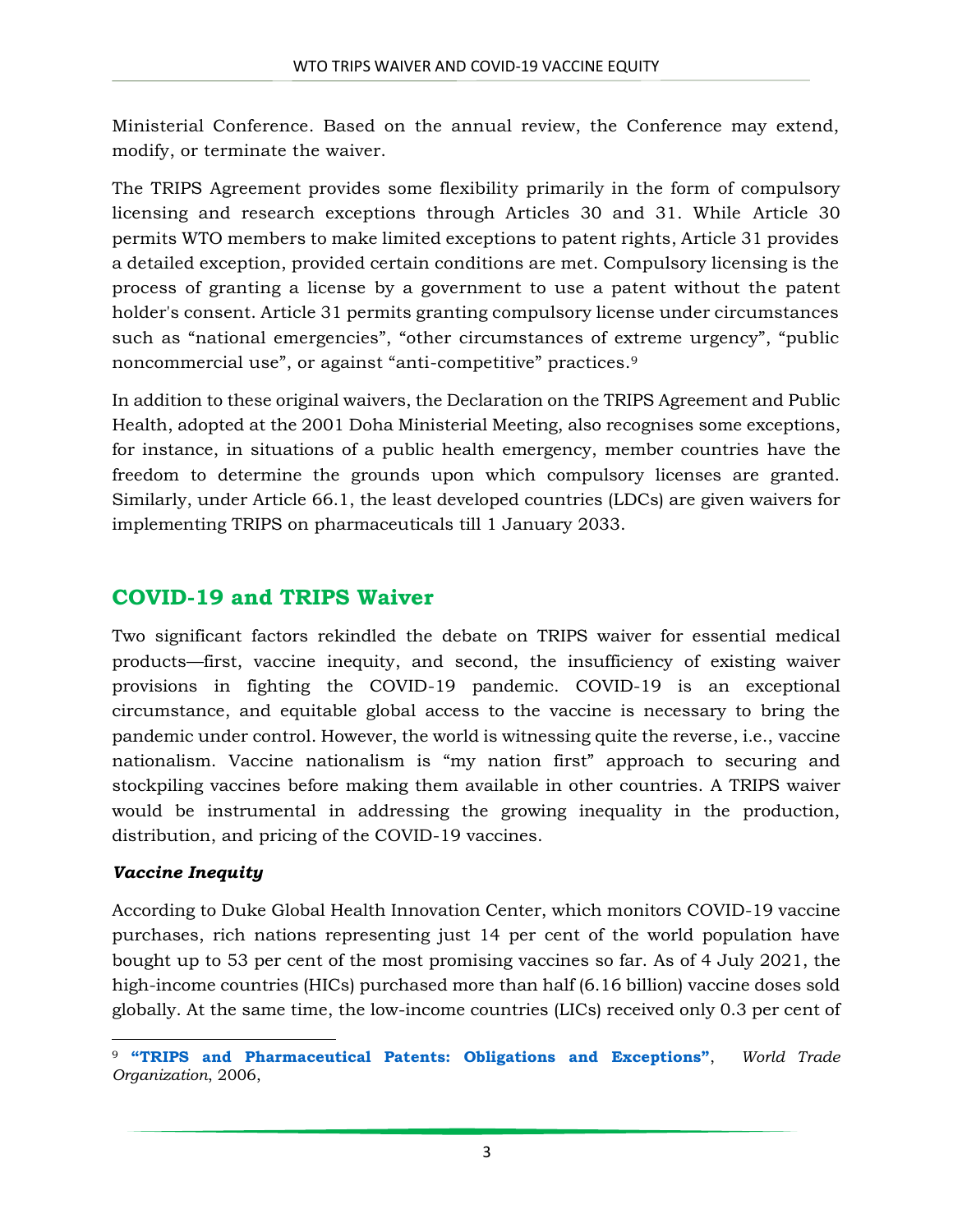Ministerial Conference. Based on the annual review, the Conference may extend, modify, or terminate the waiver.

The TRIPS Agreement provides some flexibility primarily in the form of compulsory licensing and research exceptions through Articles 30 and 31. While Article 30 permits WTO members to make limited exceptions to patent rights, Article 31 provides a detailed exception, provided certain conditions are met. Compulsory licensing is the process of granting a license by a government to use a patent without the patent holder's consent. Article 31 permits granting compulsory license under circumstances such as "national emergencies", "other circumstances of extreme urgency", "public noncommercial use", or against "anti-competitive" practices.<sup>9</sup>

In addition to these original waivers, the Declaration on the TRIPS Agreement and Public Health, adopted at the 2001 Doha Ministerial Meeting, also recognises some exceptions, for instance, in situations of a public health emergency, member countries have the freedom to determine the grounds upon which compulsory licenses are granted. Similarly, under Article 66.1, the least developed countries (LDCs) are given waivers for implementing TRIPS on pharmaceuticals till 1 January 2033.

# **COVID-19 and TRIPS Waiver**

Two significant factors rekindled the debate on TRIPS waiver for essential medical products—first, vaccine inequity, and second, the insufficiency of existing waiver provisions in fighting the COVID-19 pandemic. COVID-19 is an exceptional circumstance, and equitable global access to the vaccine is necessary to bring the pandemic under control. However, the world is witnessing quite the reverse, i.e., vaccine nationalism. Vaccine nationalism is "my nation first" approach to securing and stockpiling vaccines before making them available in other countries. A TRIPS waiver would be instrumental in addressing the growing inequality in the production, distribution, and pricing of the COVID-19 vaccines.

### *Vaccine Inequity*

According to Duke Global Health Innovation Center, which monitors COVID-19 vaccine purchases, rich nations representing just 14 per cent of the world population have bought up to 53 per cent of the most promising vaccines so far. As of 4 July 2021, the high-income countries (HICs) purchased more than half (6.16 billion) vaccine doses sold globally. At the same time, the low-income countries (LICs) received only 0.3 per cent of

 $\overline{\phantom{a}}$ <sup>9</sup> **["TRIPS and Pharmaceutical Patents: Obligations and Exceptions"](https://www.wto.org/english/tratop_e/trips_e/factsheet_pharm02_e.htm#art31)**, *World Trade Organization*, 2006,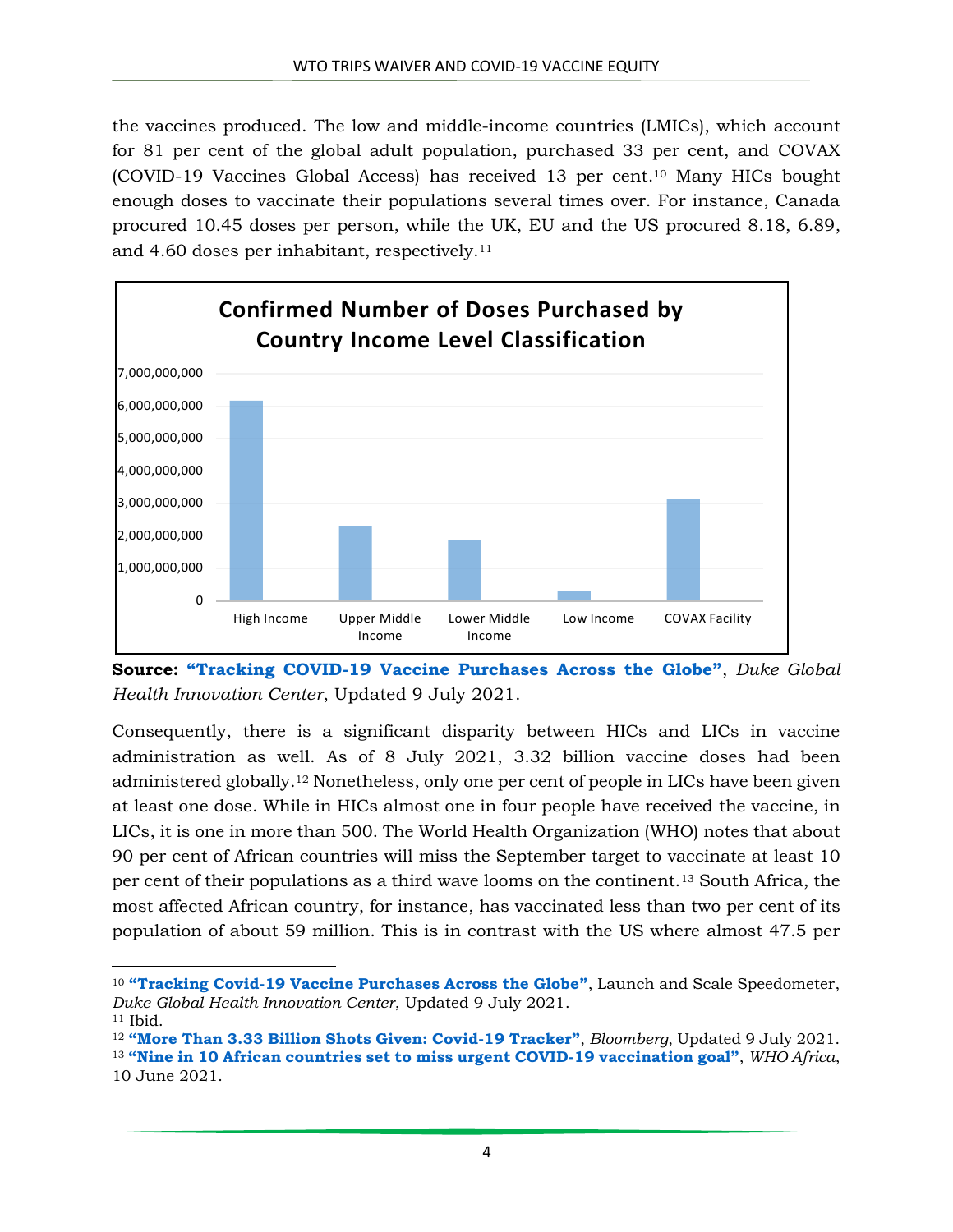the vaccines produced. The low and middle-income countries (LMICs), which account for 81 per cent of the global adult population, purchased 33 per cent, and COVAX (COVID-19 Vaccines Global Access) has received 13 per cent. <sup>10</sup> Many HICs bought enough doses to vaccinate their populations several times over. For instance, Canada procured 10.45 doses per person, while the UK, EU and the US procured 8.18, 6.89, and 4.60 doses per inhabitant, respectively.<sup>11</sup>



**Source: "Tracking COVID-[19 Vaccine Purchases Across the Globe"](https://launchandscalefaster.org/covid-19/vaccinepurchases)**, *Duke Global Health Innovation Center*, Updated 9 July 2021.

Consequently, there is a significant disparity between HICs and LICs in vaccine administration as well. As of 8 July 2021, 3.32 billion vaccine doses had been administered globally.<sup>12</sup> Nonetheless, only one per cent of people in LICs have been given at least one dose. While in HICs almost one in four people have received the vaccine, in LICs, it is one in more than 500. The World Health Organization (WHO) notes that about 90 per cent of African countries will miss the September target to vaccinate at least 10 per cent of their populations as a third wave looms on the continent.<sup>13</sup> South Africa, the most affected African country, for instance, has vaccinated less than two per cent of its population of about 59 million. This is in contrast with the US where almost 47.5 per

 $\overline{\phantom{a}}$ <sup>10</sup> **"[Tracking Covid-19 Vaccine Purchases Across the Globe](https://launchandscalefaster.org/covid-19/vaccinepurchases)"**, Launch and Scale Speedometer, *Duke Global Health Innovation Center*, Updated 9 July 2021.

<sup>11</sup> Ibid.

<sup>12</sup> **"More Than 3.33 [Billion Shots Given: Covid-19 Tracker](https://www.bloomberg.com/graphics/covid-vaccine-tracker-global-distribution/)"**, *Bloomberg*, Updated 9 July 2021. <sup>13</sup> **["Nine in 10 African countries set to miss urgent COVID](https://www.afro.who.int/news/nine-10-african-countries-set-miss-urgent-covid-19-vaccination-goal)-19 vaccination goal"**, *WHO Africa*, 10 June 2021.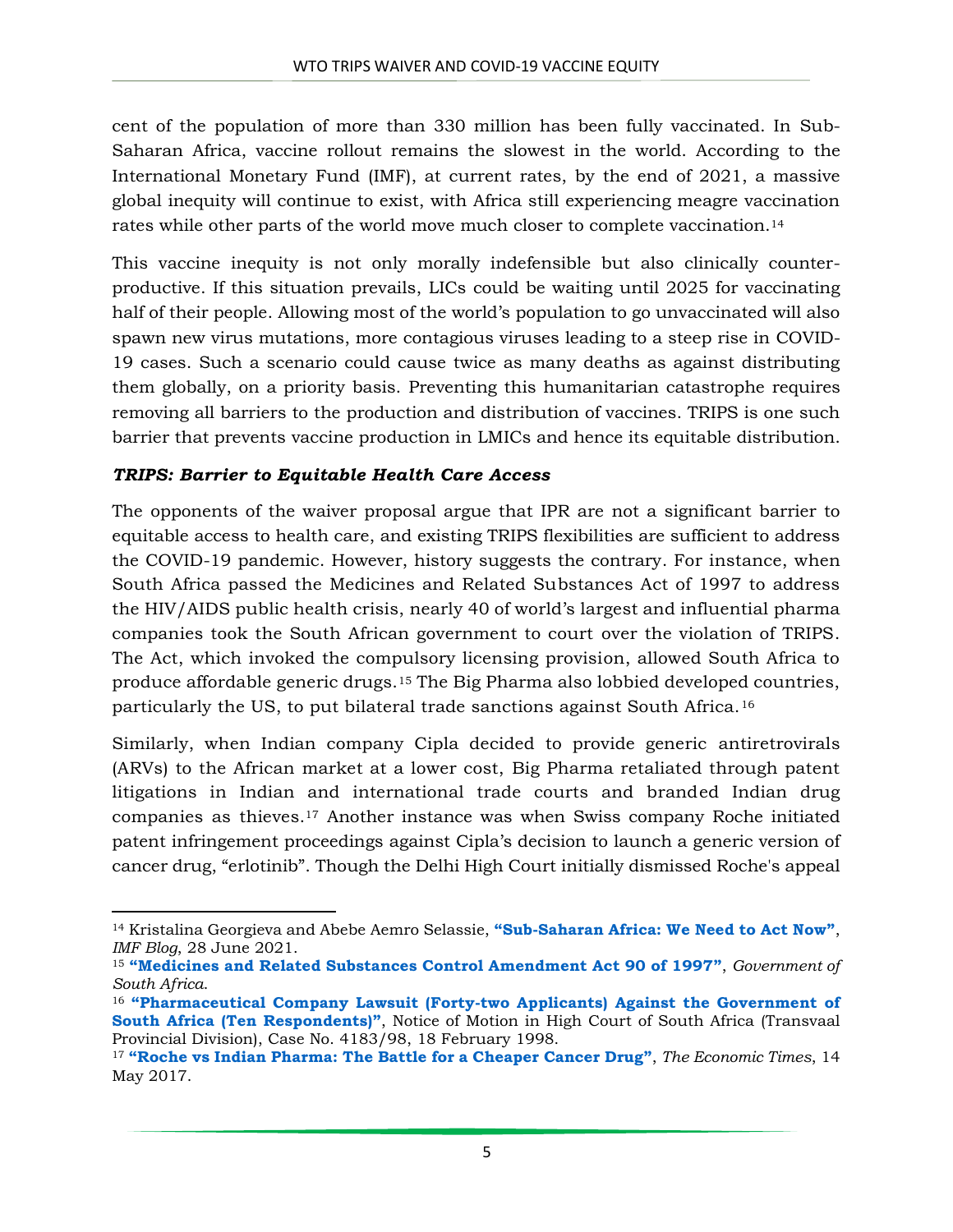cent of the population of more than 330 million has been fully vaccinated. In Sub-Saharan Africa, vaccine rollout remains the slowest in the world. According to the International Monetary Fund (IMF), at current rates, by the end of 2021, a massive global inequity will continue to exist, with Africa still experiencing meagre vaccination rates while other parts of the world move much closer to complete vaccination.<sup>14</sup>

This vaccine inequity is not only morally indefensible but also clinically counterproductive. If this situation prevails, LICs could be waiting until 2025 for vaccinating half of their people. Allowing most of the world's population to go unvaccinated will also spawn new virus mutations, more contagious viruses leading to a steep rise in COVID-19 cases. Such a scenario could cause twice as many deaths as against distributing them globally, on a priority basis. Preventing this humanitarian catastrophe requires removing all barriers to the production and distribution of vaccines. TRIPS is one such barrier that prevents vaccine production in LMICs and hence its equitable distribution.

#### *TRIPS: Barrier to Equitable Health Care Access*

 $\overline{\phantom{a}}$ 

The opponents of the waiver proposal argue that IPR are not a significant barrier to equitable access to health care, and existing TRIPS flexibilities are sufficient to address the COVID-19 pandemic. However, history suggests the contrary. For instance, when South Africa passed the Medicines and Related Substances Act of 1997 to address the HIV/AIDS public health crisis, nearly 40 of world's largest and influential pharma companies took the South African government to court over the violation of TRIPS. The Act, which invoked the compulsory licensing provision, allowed South Africa to produce affordable generic drugs.<sup>15</sup> The Big Pharma also lobbied developed countries, particularly the US, to put bilateral trade sanctions against South Africa.<sup>16</sup>

Similarly, when Indian company Cipla decided to provide generic antiretrovirals (ARVs) to the African market at a lower cost, Big Pharma retaliated through patent litigations in Indian and international trade courts and branded Indian drug companies as thieves. <sup>17</sup> Another instance was when Swiss company Roche initiated patent infringement proceedings against Cipla's decision to launch a generic version of cancer drug, "erlotinib". Though the Delhi High Court initially dismissed Roche's appeal

<sup>14</sup> Kristalina Georgieva and Abebe Aemro Selassie, **"[Sub-Saharan Africa: We Need to Act Now](https://blogs.imf.org/2021/06/28/sub-saharan-africa-we-need-to-act-now/)"**, *IMF Blog*, 28 June 2021.

<sup>15</sup> **"[Medicines and Related Substances Control Amendment Act 90 of 1997](https://www.gov.za/documents/medicines-and-related-substances-control-amendment-act)"**, *Government of South Africa*.

<sup>16</sup> **"[Pharmaceutical Company Lawsuit \(Forty-two Applicants\) Against the Government of](http://www.cptech.org/ip/health/sa/pharmasuit.html)  [South Africa \(Ten Respondents\)](http://www.cptech.org/ip/health/sa/pharmasuit.html)"**, Notice of Motion in High Court of South Africa (Transvaal Provincial Division), Case No. 4183/98, 18 February 1998.

<sup>17</sup> **"[Roche vs Indian Pharma: The Battle for a Cheaper Cancer Drug](https://economictimes.indiatimes.com/industry/healthcare/biotech/pharmaceuticals/is-the-pharma-mnc-roche-debacle-a-re-run-of-the-generics-versus-big-pharma-battle-of-the-last-decade/articleshow/58661870.cms?from=mdr)"**, *The Economic Times*, 14 May 2017.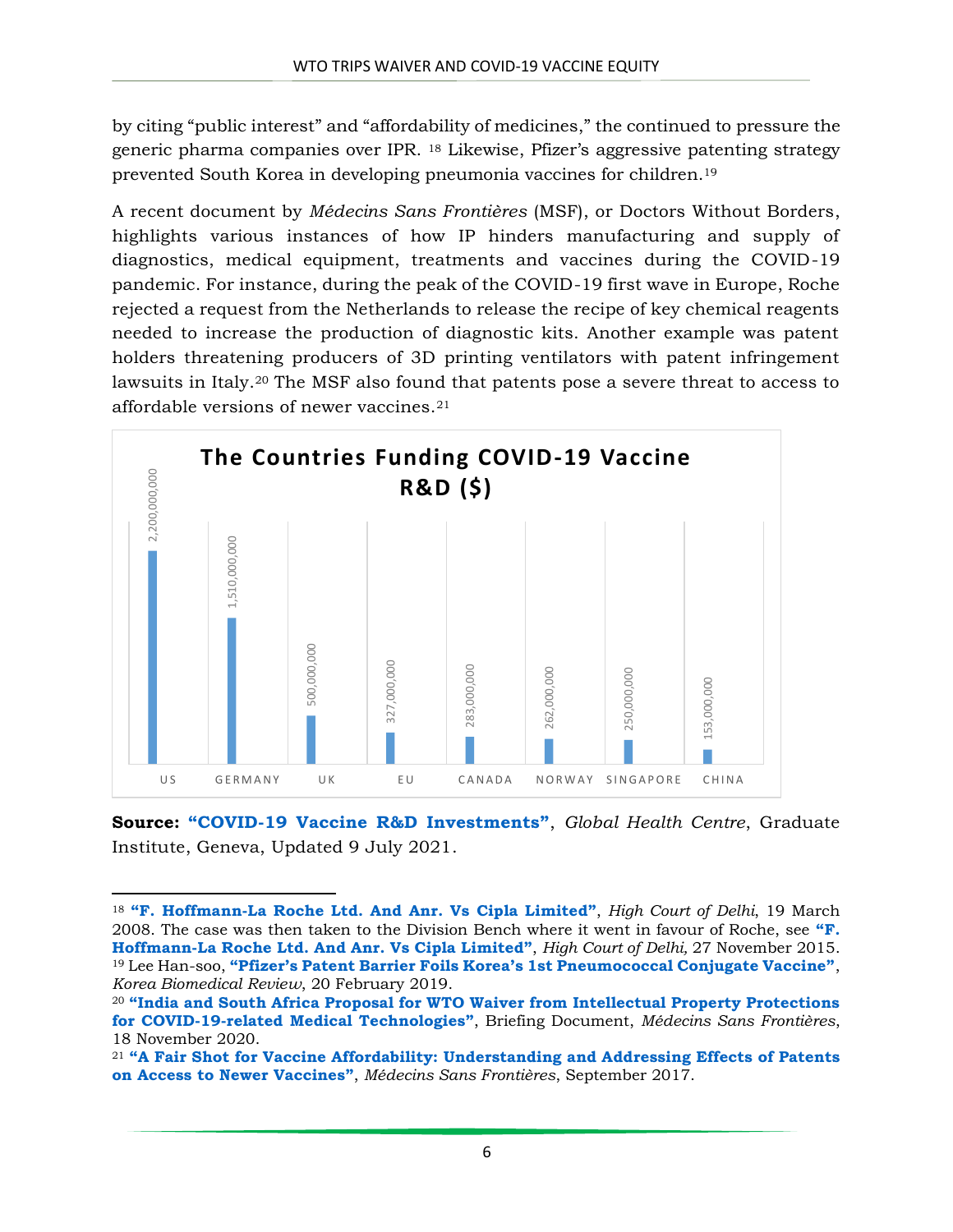by citing "public interest" and "affordability of medicines," the continued to pressure the generic pharma companies over IPR. <sup>18</sup> Likewise, Pfizer's aggressive patenting strategy prevented South Korea in developing pneumonia vaccines for children.<sup>19</sup>

A recent document by *Médecins Sans Frontières* (MSF), or Doctors Without Borders, highlights various instances of how IP hinders manufacturing and supply of diagnostics, medical equipment, treatments and vaccines during the COVID-19 pandemic. For instance, during the peak of the COVID-19 first wave in Europe, Roche rejected a request from the Netherlands to release the recipe of key chemical reagents needed to increase the production of diagnostic kits. Another example was patent holders threatening producers of 3D printing ventilators with patent infringement lawsuits in Italy.<sup>20</sup> The MSF also found that patents pose a severe threat to access to affordable versions of newer vaccines.<sup>21</sup>



**Source: "COVID-[19 Vaccine R&D Investments"](https://www.knowledgeportalia.org/covid19-r-d-funding)**, *Global Health Centre*, Graduate Institute, Geneva, Updated 9 July 2021.

 $\overline{\phantom{a}}$ 

<sup>18</sup> **"[F. Hoffmann-La Roche Ltd. And Anr. Vs Cipla](http://delhihighcourt.nic.in/writereaddata/orderSan_Pdf/pnj/2015/183961_2015.pdf) Limited"**, *High Court of Delhi*, 19 March 2008. The case was then taken to the Division Bench where it went in favour of Roche, see **"[F.](http://delhihighcourt.nic.in/writereaddata/orderSan_Pdf/pnj/2015/183961_2015.pdf)  [Hoffmann-La Roche Ltd. And Anr. Vs Cipla Limited](http://delhihighcourt.nic.in/writereaddata/orderSan_Pdf/pnj/2015/183961_2015.pdf)"**, *High Court of Delhi,* 27 November 2015. <sup>19</sup> Lee Han-soo, **["Pfizer's Patent Barrier Foils Korea's 1st Pneumococcal Conjugate Vaccine"](http://www.koreabiomed.com/news/articleView.html?idxno=5168)**, *Korea Biomedical Review*, 20 February 2019.

<sup>20</sup> **"[India and South Africa Proposal for WTO Waiver from Intellectual Property Protections](https://msfaccess.org/sites/default/files/2020-11/COVID_Brief_WTO_WaiverProposal_ENG_v2_18Nov2020.pdf)  [for COVID-19-related Medical Technologies](https://msfaccess.org/sites/default/files/2020-11/COVID_Brief_WTO_WaiverProposal_ENG_v2_18Nov2020.pdf)"**, Briefing Document, *Médecins Sans Frontières*, 18 November 2020.

<sup>&</sup>lt;sup>21</sup> "[A Fair Shot for Vaccine Affordability: Understanding and Addressing Effects of Patents](https://msfaccess.org/sites/default/files/2018-06/VAC_report_A%20Fair%20Shot%20for%20Vaccine%20Affordability_ENG_2017.pdf) on Access to Newer Vaccines", *Médecins Sans Frontières*, September 2017.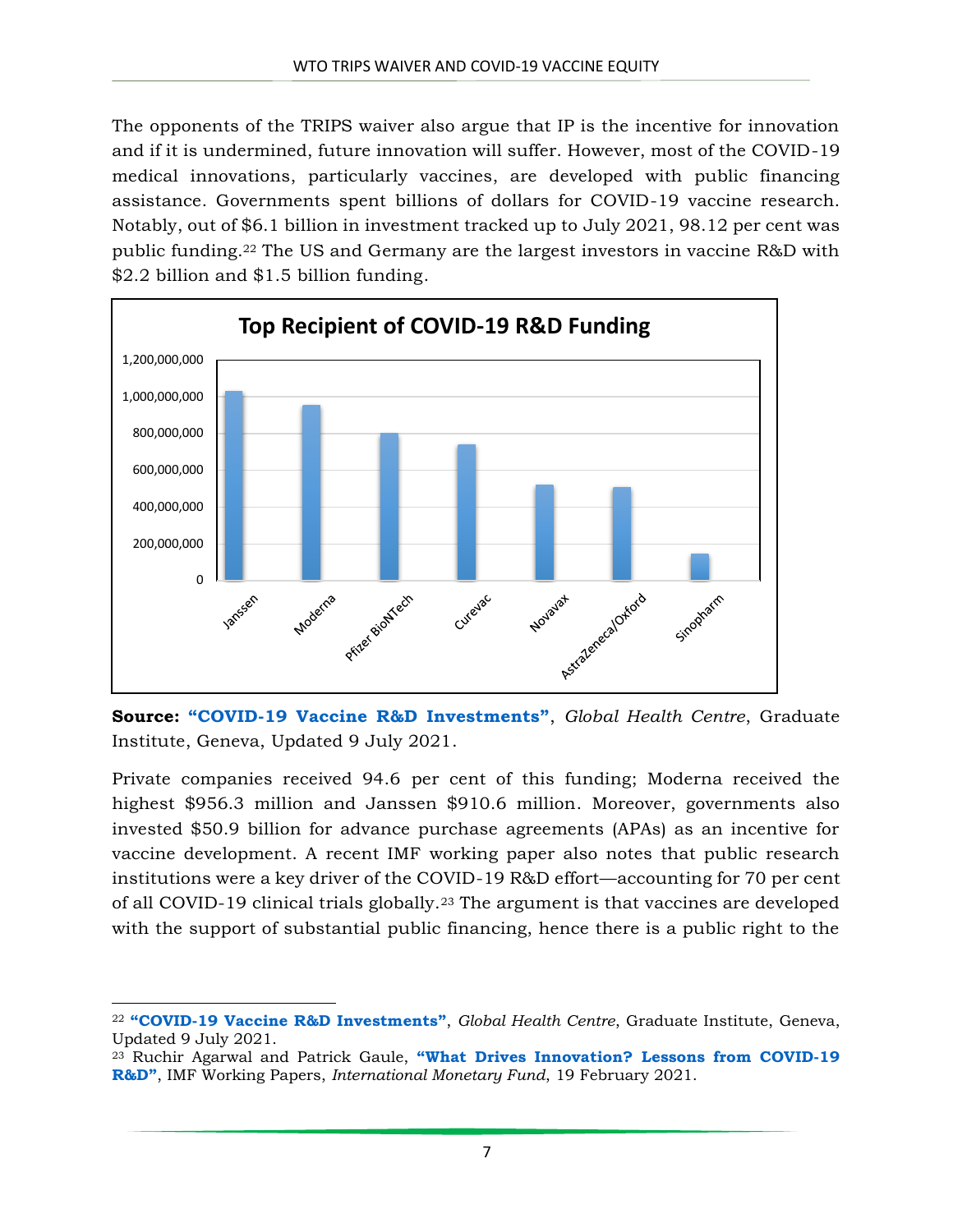The opponents of the TRIPS waiver also argue that IP is the incentive for innovation and if it is undermined, future innovation will suffer. However, most of the COVID-19 medical innovations, particularly vaccines, are developed with public financing assistance. Governments spent billions of dollars for COVID-19 vaccine research. Notably, out of \$6.1 billion in investment tracked up to July 2021, 98.12 per cent was public funding.<sup>22</sup> The US and Germany are the largest investors in vaccine R&D with \$2.2 billion and \$1.5 billion funding.



**Source: "COVID-[19 Vaccine R&D Investments"](https://www.knowledgeportalia.org/covid19-r-d-funding)**, *Global Health Centre*, Graduate Institute, Geneva, Updated 9 July 2021.

Private companies received 94.6 per cent of this funding; Moderna received the highest \$956.3 million and Janssen \$910.6 million. Moreover, governments also invested \$50.9 billion for advance purchase agreements (APAs) as an incentive for vaccine development. A recent IMF working paper also notes that public research institutions were a key driver of the COVID-19 R&D effort—accounting for 70 per cent of all COVID-19 clinical trials globally.<sup>23</sup> The argument is that vaccines are developed with the support of substantial public financing, hence there is a public right to the

l <sup>22</sup> **"[COVID-19 Vaccine R&D Investments](https://www.knowledgeportalia.org/covid19-r-d-funding)"**, *Global Health Centre*, Graduate Institute, Geneva, Updated 9 July 2021.

<sup>23</sup> Ruchir Agarwal and Patrick Gaule, **["What Drives Innovation? Lessons from COV](https://www.imf.org/en/Publications/WP/Issues/2021/02/20/What-Drives-Innovation-Lessons-from-COVID-19-R-D-50096)ID-19 [R&D"](https://www.imf.org/en/Publications/WP/Issues/2021/02/20/What-Drives-Innovation-Lessons-from-COVID-19-R-D-50096)**, IMF Working Papers, *International Monetary Fund*, 19 February 2021.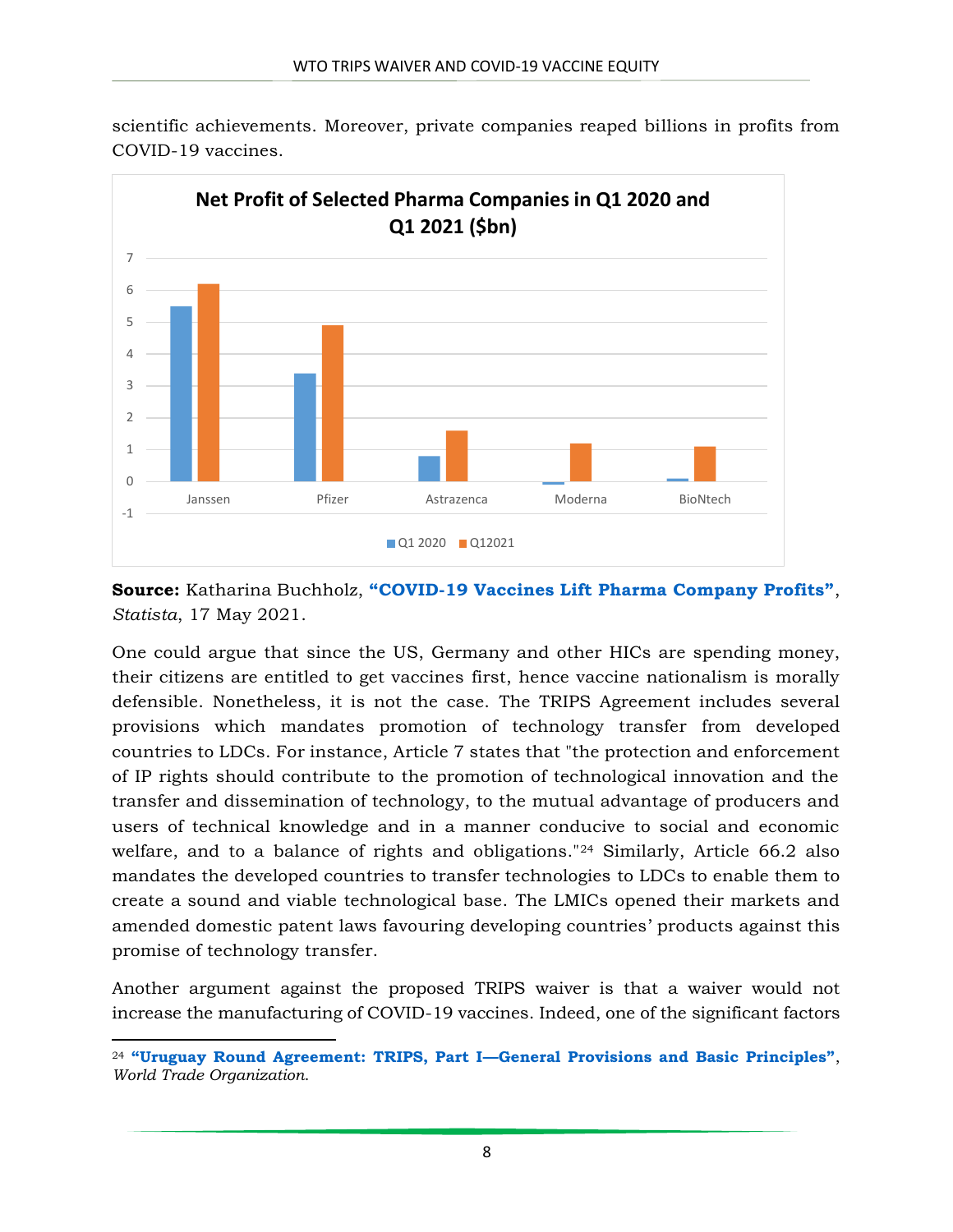

scientific achievements. Moreover, private companies reaped billions in profits from COVID-19 vaccines.

**Source:** Katharina Buchholz, **"COVID-[19 Vaccines Lift Pharma Company Profits"](https://www.statista.com/chart/24829/net-income-profit-pharma-companies/)**, *Statista*, 17 May 2021.

One could argue that since the US, Germany and other HICs are spending money, their citizens are entitled to get vaccines first, hence vaccine nationalism is morally defensible. Nonetheless, it is not the case. The TRIPS Agreement includes several provisions which mandates promotion of technology transfer from developed countries to LDCs. For instance, Article 7 states that "the protection and enforcement of IP rights should contribute to the promotion of technological innovation and the transfer and dissemination of technology, to the mutual advantage of producers and users of technical knowledge and in a manner conducive to social and economic welfare, and to a balance of rights and obligations."<sup>24</sup> Similarly, Article 66.2 also mandates the developed countries to transfer technologies to LDCs to enable them to create a sound and viable technological base. The LMICs opened their markets and amended domestic patent laws favouring developing countries' products against this promise of technology transfer.

Another argument against the proposed TRIPS waiver is that a waiver would not increase the manufacturing of COVID-19 vaccines. Indeed, one of the significant factors

 $\overline{a}$ 

<sup>24</sup> **["Uruguay Round Agreement: TRIPS, Part I—General Provisions and Basic Principles"](https://www.wto.org/english/docs_e/legal_e/27-trips_03_e.htm)**, *World Trade Organization*.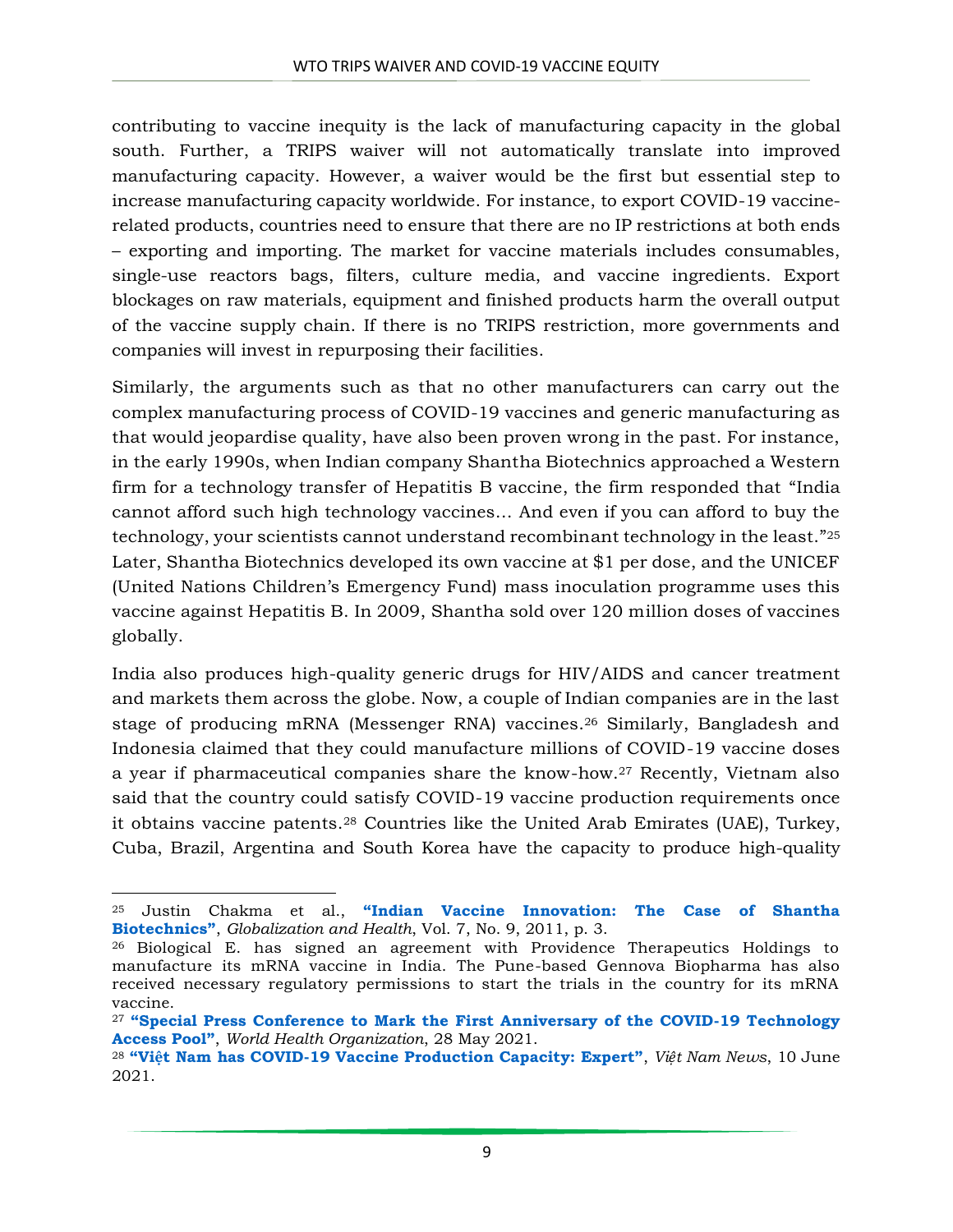contributing to vaccine inequity is the lack of manufacturing capacity in the global south. Further, a TRIPS waiver will not automatically translate into improved manufacturing capacity. However, a waiver would be the first but essential step to increase manufacturing capacity worldwide. For instance, to export COVID-19 vaccinerelated products, countries need to ensure that there are no IP restrictions at both ends – exporting and importing. The market for vaccine materials includes consumables, single-use reactors bags, filters, culture media, and vaccine ingredients. Export blockages on raw materials, equipment and finished products harm the overall output of the vaccine supply chain. If there is no TRIPS restriction, more governments and companies will invest in repurposing their facilities.

Similarly, the arguments such as that no other manufacturers can carry out the complex manufacturing process of COVID-19 vaccines and generic manufacturing as that would jeopardise quality, have also been proven wrong in the past. For instance, in the early 1990s, when Indian company Shantha Biotechnics approached a Western firm for a technology transfer of Hepatitis B vaccine, the firm responded that "India cannot afford such high technology vaccines… And even if you can afford to buy the technology, your scientists cannot understand recombinant technology in the least." 25 Later, Shantha Biotechnics developed its own vaccine at \$1 per dose, and the UNICEF (United Nations Children's Emergency Fund) mass inoculation programme uses this vaccine against Hepatitis B. In 2009, Shantha sold over 120 million doses of vaccines globally.

India also produces high-quality generic drugs for HIV/AIDS and cancer treatment and markets them across the globe. Now, a couple of Indian companies are in the last stage of producing mRNA (Messenger RNA) vaccines.<sup>26</sup> Similarly, Bangladesh and Indonesia claimed that they could manufacture millions of COVID-19 vaccine doses a year if pharmaceutical companies share the know-how.<sup>27</sup> Recently, Vietnam also said that the country could satisfy COVID-19 vaccine production requirements once it obtains vaccine patents.<sup>28</sup> Countries like the United Arab Emirates (UAE), Turkey, Cuba, Brazil, Argentina and South Korea have the capacity to produce high-quality

 $\overline{a}$ 

<sup>25</sup> Justin Chakma et al., **["Indian Vaccine Innovation: The Case of Shantha](https://globalizationandhealth.biomedcentral.com/articles/10.1186/1744-8603-7-9)  [Biotechnics"](https://globalizationandhealth.biomedcentral.com/articles/10.1186/1744-8603-7-9)**, *Globalization and Health*, Vol. 7, No. 9, 2011, p. 3.

<sup>26</sup> Biological E. has signed an agreement with Providence Therapeutics Holdings to manufacture its mRNA vaccine in India. The Pune-based Gennova Biopharma has also received necessary regulatory permissions to start the trials in the country for its mRNA vaccine.

<sup>27</sup> **["Special Press Conference to Mark the First Anniversary of the COVID](https://www.who.int/news-room/events/detail/2021/05/28/default-calendar/special-press-conference-to-mark-the-first-anniversary-of-the-covid-19-technology-access-pool)-19 Technology [Access Pool"](https://www.who.int/news-room/events/detail/2021/05/28/default-calendar/special-press-conference-to-mark-the-first-anniversary-of-the-covid-19-technology-access-pool)**, *World Health Organization*, 28 May 2021.

<sup>28</sup> **"Việt Nam has COVID-[19 Vaccine Production Capacity: Expert"](https://vietnamnews.vn/opinion/970379/viet-nam-has-covid-19-vaccine-production-capacity-expert.html)**, *Việt Nam News*, 10 June 2021.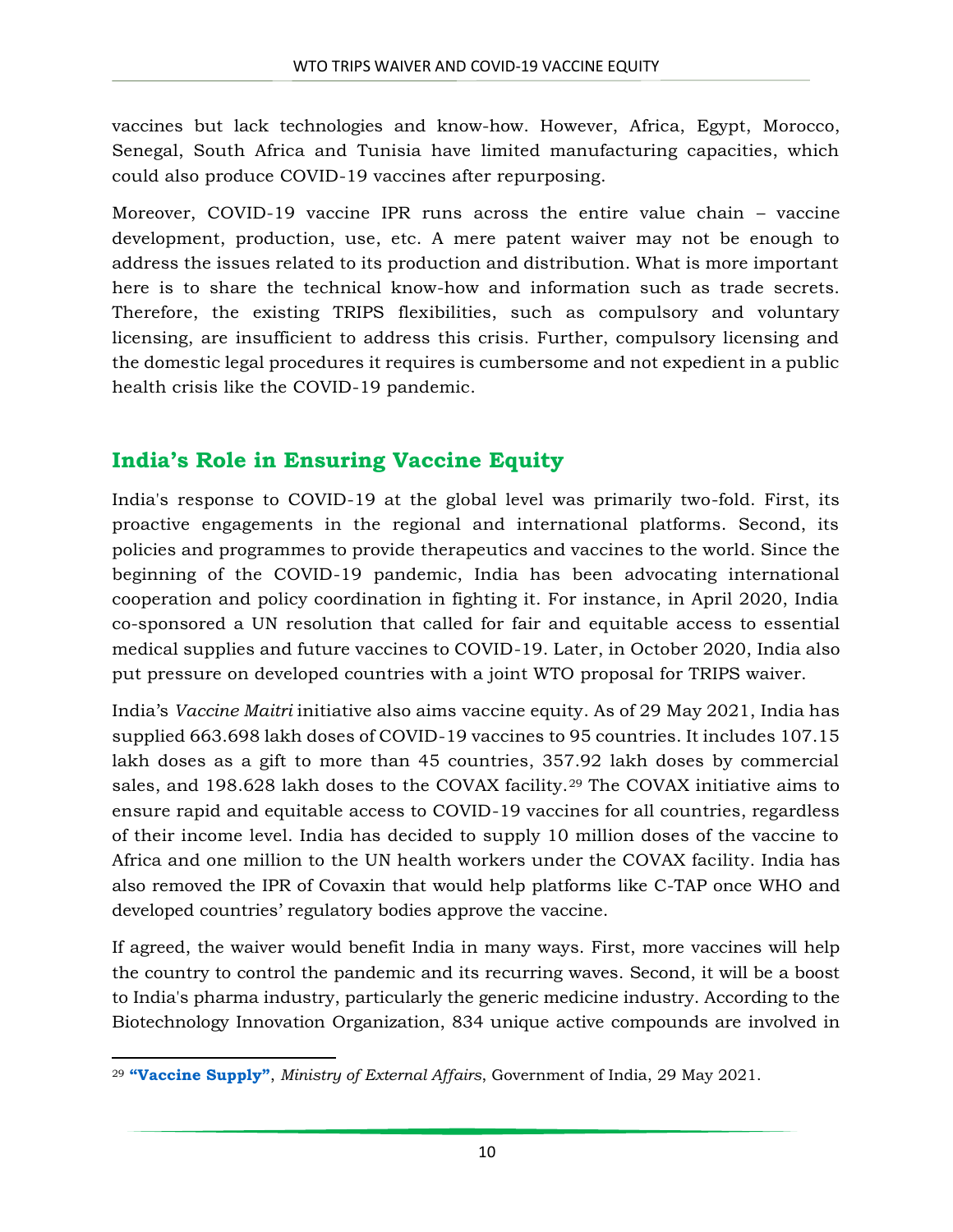vaccines but lack technologies and know-how. However, Africa, Egypt, Morocco, Senegal, South Africa and Tunisia have limited manufacturing capacities, which could also produce COVID-19 vaccines after repurposing.

Moreover, COVID-19 vaccine IPR runs across the entire value chain – vaccine development, production, use, etc. A mere patent waiver may not be enough to address the issues related to its production and distribution. What is more important here is to share the technical know-how and information such as trade secrets. Therefore, the existing TRIPS flexibilities, such as compulsory and voluntary licensing, are insufficient to address this crisis. Further, compulsory licensing and the domestic legal procedures it requires is cumbersome and not expedient in a public health crisis like the COVID-19 pandemic.

# **India's Role in Ensuring Vaccine Equity**

India's response to COVID-19 at the global level was primarily two-fold. First, its proactive engagements in the regional and international platforms. Second, its policies and programmes to provide therapeutics and vaccines to the world. Since the beginning of the COVID-19 pandemic, India has been advocating international cooperation and policy coordination in fighting it. For instance, in April 2020, India co-sponsored a UN resolution that called for fair and equitable access to essential medical supplies and future vaccines to COVID-19. Later, in October 2020, India also put pressure on developed countries with a joint WTO proposal for TRIPS waiver.

India's *Vaccine Maitri* initiative also aims vaccine equity. As of 29 May 2021, India has supplied 663.698 lakh doses of COVID-19 vaccines to 95 countries. It includes 107.15 lakh doses as a gift to more than 45 countries, 357.92 lakh doses by commercial sales, and 198.628 lakh doses to the COVAX facility.<sup>29</sup> The COVAX initiative aims to ensure rapid and equitable access to COVID-19 vaccines for all countries, regardless of their income level. India has decided to supply 10 million doses of the vaccine to Africa and one million to the UN health workers under the COVAX facility. India has also removed the IPR of Covaxin that would help platforms like C-TAP once WHO and developed countries' regulatory bodies approve the vaccine.

If agreed, the waiver would benefit India in many ways. First, more vaccines will help the country to control the pandemic and its recurring waves. Second, it will be a boost to India's pharma industry, particularly the generic medicine industry. According to the Biotechnology Innovation Organization, 834 unique active compounds are involved in

 $\overline{a}$ <sup>29</sup> **["Vaccine Supply"](https://mea.gov.in/vaccine-supply.htm)**, *Ministry of External Affairs*, Government of India, 29 May 2021.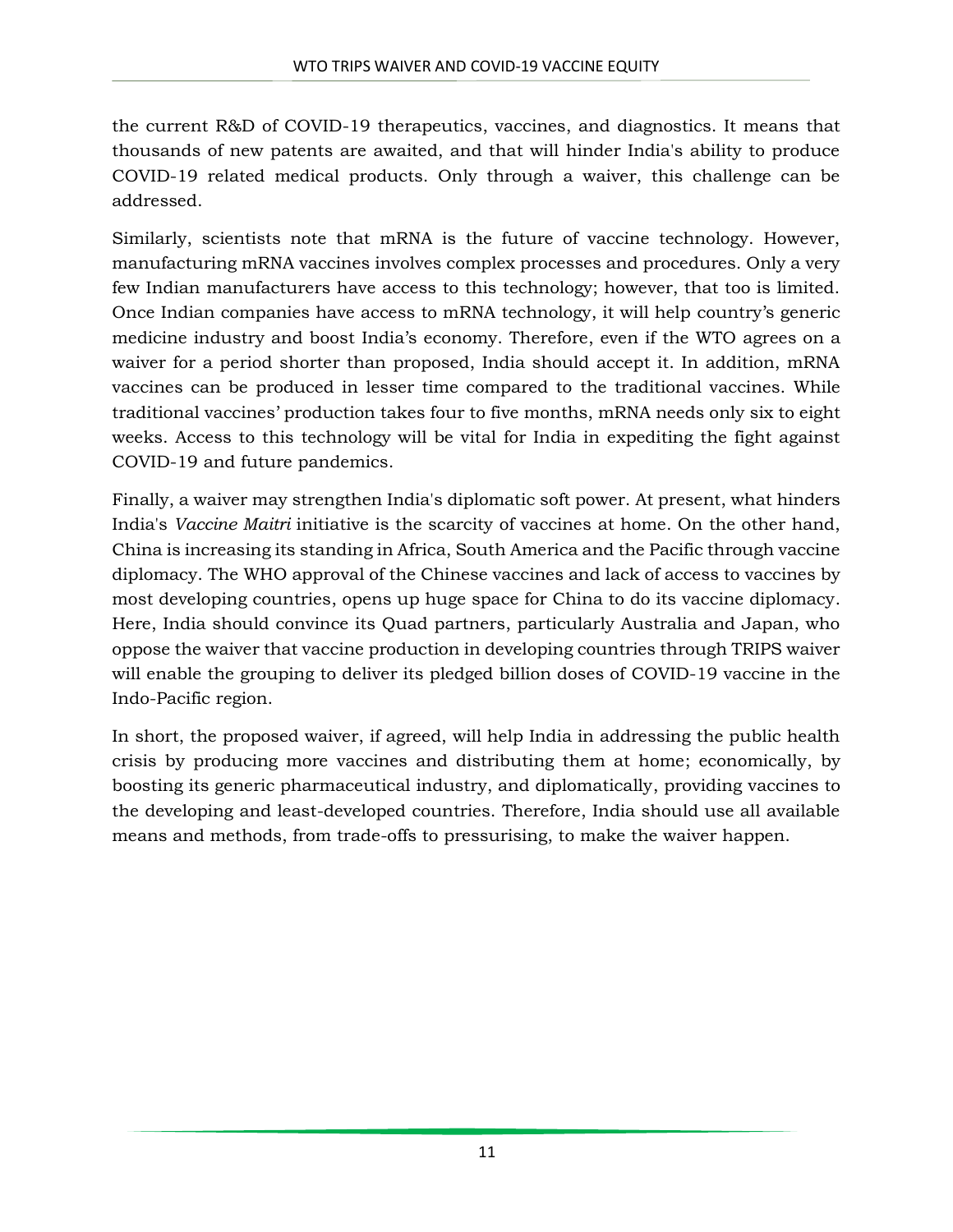the current R&D of COVID-19 therapeutics, vaccines, and diagnostics. It means that thousands of new patents are awaited, and that will hinder India's ability to produce COVID-19 related medical products. Only through a waiver, this challenge can be addressed.

Similarly, scientists note that mRNA is the future of vaccine technology. However, manufacturing mRNA vaccines involves complex processes and procedures. Only a very few Indian manufacturers have access to this technology; however, that too is limited. Once Indian companies have access to mRNA technology, it will help country's generic medicine industry and boost India's economy. Therefore, even if the WTO agrees on a waiver for a period shorter than proposed, India should accept it. In addition, mRNA vaccines can be produced in lesser time compared to the traditional vaccines. While traditional vaccines' production takes four to five months, mRNA needs only six to eight weeks. Access to this technology will be vital for India in expediting the fight against COVID-19 and future pandemics.

Finally, a waiver may strengthen India's diplomatic soft power. At present, what hinders India's *Vaccine Maitri* initiative is the scarcity of vaccines at home. On the other hand, China is increasing its standing in Africa, South America and the Pacific through vaccine diplomacy. The WHO approval of the Chinese vaccines and lack of access to vaccines by most developing countries, opens up huge space for China to do its vaccine diplomacy. Here, India should convince its Quad partners, particularly Australia and Japan, who oppose the waiver that vaccine production in developing countries through TRIPS waiver will enable the grouping to deliver its pledged billion doses of COVID-19 vaccine in the Indo-Pacific region.

In short, the proposed waiver, if agreed, will help India in addressing the public health crisis by producing more vaccines and distributing them at home; economically, by boosting its generic pharmaceutical industry, and diplomatically, providing vaccines to the developing and least-developed countries. Therefore, India should use all available means and methods, from trade-offs to pressurising, to make the waiver happen.